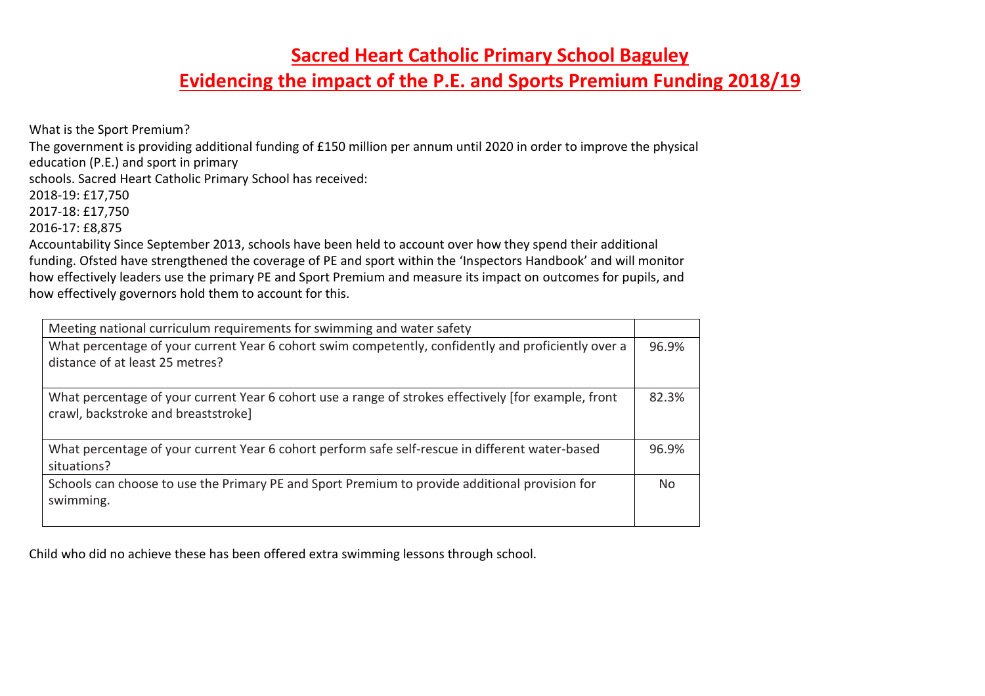**Evidencing the impact of the P.E. and Sports Premium Funding 2018/19**

What is the Sport Premium?

The government is providing additional funding of £150 million per annum until 2020 in order to improve the physical

education (P.E.) and sport in primary

schools. Sacred Heart Catholic Primary School has received:

2018-19: £17,750

2017-18: £17,750

2016-17: £8,875

Accountability Since September 2013, schools have been held to account over how they spend their additional funding. Ofsted have strengthened the coverage of PE and sport within the 'Inspectors Handbook' and will monitor how effectively leaders use the primary PE and Sport Premium and measure its impact on outcomes for pupils, and how effectively governors hold them to account for this.

| Meeting national curriculum requirements for swimming and water safety                                                                      |       |
|---------------------------------------------------------------------------------------------------------------------------------------------|-------|
| What percentage of your current Year 6 cohort swim competently, confidently and proficiently over a<br>distance of at least 25 metres?      | 96.9% |
| What percentage of your current Year 6 cohort use a range of strokes effectively [for example, front<br>crawl, backstroke and breaststroke] | 82.3% |
| What percentage of your current Year 6 cohort perform safe self-rescue in different water-based<br>situations?                              | 96.9% |
| Schools can choose to use the Primary PE and Sport Premium to provide additional provision for<br>swimming.                                 | No.   |

Child who did no achieve these has been offered extra swimming lessons through school.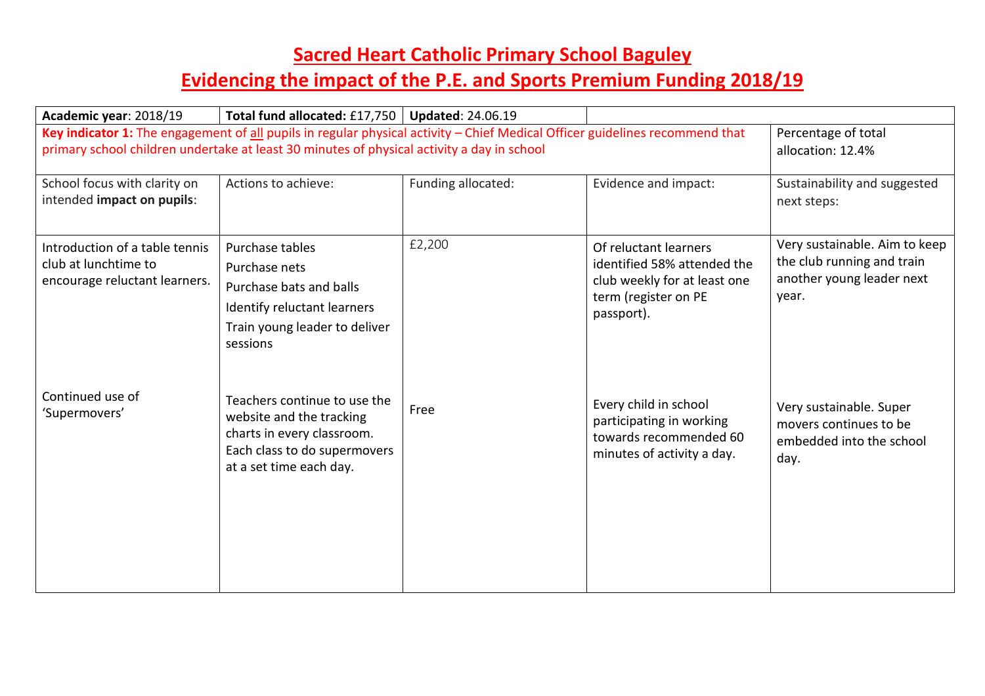| Academic year: 2018/19                                                                  | Total fund allocated: £17,750   Updated: 24.06.19                                                                                                                                                                          |                    |                                                                                                                            |                                                                                                   |
|-----------------------------------------------------------------------------------------|----------------------------------------------------------------------------------------------------------------------------------------------------------------------------------------------------------------------------|--------------------|----------------------------------------------------------------------------------------------------------------------------|---------------------------------------------------------------------------------------------------|
|                                                                                         | Key indicator 1: The engagement of all pupils in regular physical activity - Chief Medical Officer guidelines recommend that<br>primary school children undertake at least 30 minutes of physical activity a day in school |                    |                                                                                                                            | Percentage of total<br>allocation: 12.4%                                                          |
| School focus with clarity on<br>intended impact on pupils:                              | Actions to achieve:                                                                                                                                                                                                        | Funding allocated: | Evidence and impact:                                                                                                       | Sustainability and suggested<br>next steps:                                                       |
| Introduction of a table tennis<br>club at lunchtime to<br>encourage reluctant learners. | Purchase tables<br>Purchase nets<br>Purchase bats and balls<br>Identify reluctant learners<br>Train young leader to deliver<br>sessions                                                                                    | £2,200             | Of reluctant learners<br>identified 58% attended the<br>club weekly for at least one<br>term (register on PE<br>passport). | Very sustainable. Aim to keep<br>the club running and train<br>another young leader next<br>year. |
| Continued use of<br>'Supermovers'                                                       | Teachers continue to use the<br>website and the tracking<br>charts in every classroom.<br>Each class to do supermovers<br>at a set time each day.                                                                          | Free               | Every child in school<br>participating in working<br>towards recommended 60<br>minutes of activity a day.                  | Very sustainable. Super<br>movers continues to be<br>embedded into the school<br>day.             |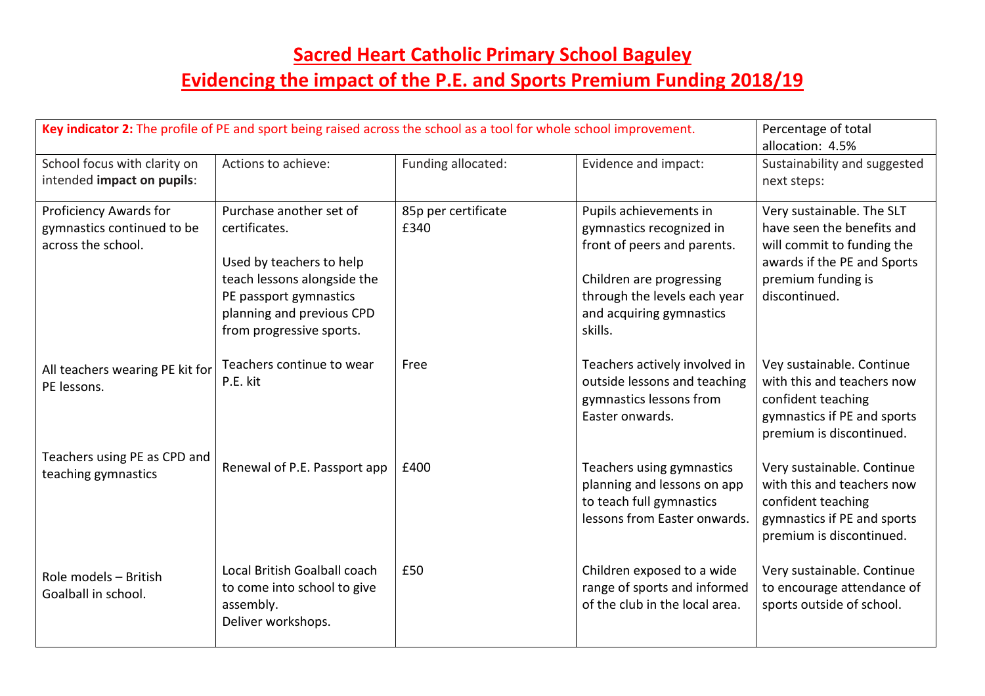## **Sacred Heart Catholic Primary School Baguley Evidencing the impact of the P.E. and Sports Premium Funding 2018/19**

| Key indicator 2: The profile of PE and sport being raised across the school as a tool for whole school improvement. |                                                                                                                                                                                        |                             | Percentage of total<br>allocation: 4.5%                                                                                                                                              |                                                                                                                                                             |
|---------------------------------------------------------------------------------------------------------------------|----------------------------------------------------------------------------------------------------------------------------------------------------------------------------------------|-----------------------------|--------------------------------------------------------------------------------------------------------------------------------------------------------------------------------------|-------------------------------------------------------------------------------------------------------------------------------------------------------------|
| School focus with clarity on<br>intended impact on pupils:                                                          | Actions to achieve:                                                                                                                                                                    | Funding allocated:          | Evidence and impact:                                                                                                                                                                 | Sustainability and suggested<br>next steps:                                                                                                                 |
| Proficiency Awards for<br>gymnastics continued to be<br>across the school.                                          | Purchase another set of<br>certificates.<br>Used by teachers to help<br>teach lessons alongside the<br>PE passport gymnastics<br>planning and previous CPD<br>from progressive sports. | 85p per certificate<br>£340 | Pupils achievements in<br>gymnastics recognized in<br>front of peers and parents.<br>Children are progressing<br>through the levels each year<br>and acquiring gymnastics<br>skills. | Very sustainable. The SLT<br>have seen the benefits and<br>will commit to funding the<br>awards if the PE and Sports<br>premium funding is<br>discontinued. |
| All teachers wearing PE kit for<br>PE lessons.                                                                      | Teachers continue to wear<br>P.E. kit                                                                                                                                                  | Free                        | Teachers actively involved in<br>outside lessons and teaching<br>gymnastics lessons from<br>Easter onwards.                                                                          | Vey sustainable. Continue<br>with this and teachers now<br>confident teaching<br>gymnastics if PE and sports<br>premium is discontinued.                    |
| Teachers using PE as CPD and<br>teaching gymnastics                                                                 | Renewal of P.E. Passport app                                                                                                                                                           | £400                        | Teachers using gymnastics<br>planning and lessons on app<br>to teach full gymnastics<br>lessons from Easter onwards.                                                                 | Very sustainable. Continue<br>with this and teachers now<br>confident teaching<br>gymnastics if PE and sports<br>premium is discontinued.                   |
| Role models - British<br>Goalball in school.                                                                        | Local British Goalball coach<br>to come into school to give<br>assembly.<br>Deliver workshops.                                                                                         | £50                         | Children exposed to a wide<br>range of sports and informed<br>of the club in the local area.                                                                                         | Very sustainable. Continue<br>to encourage attendance of<br>sports outside of school.                                                                       |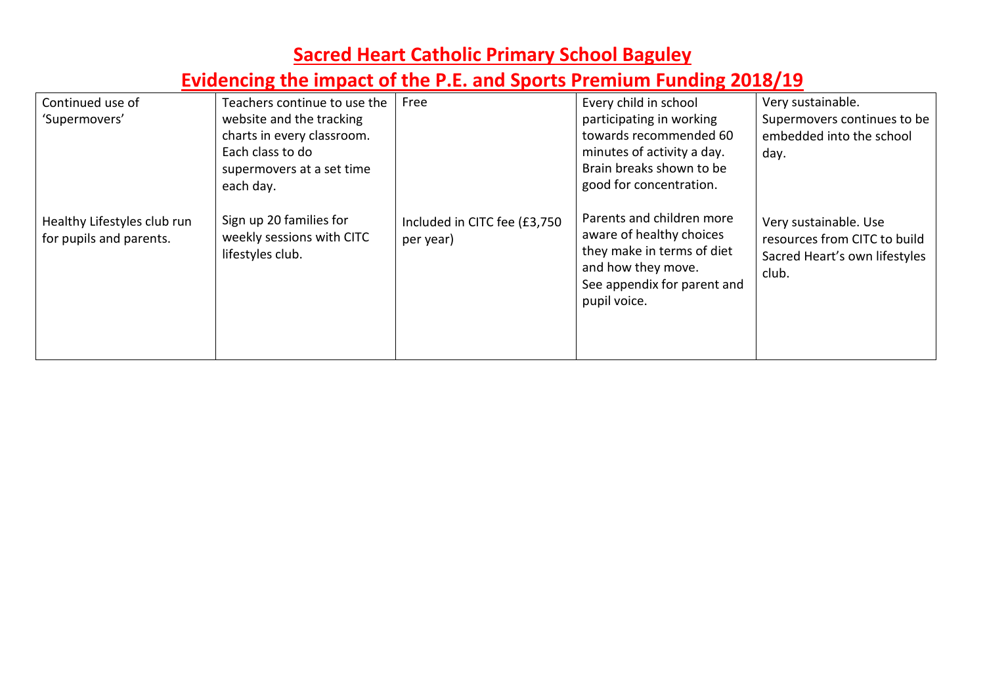| Continued use of                                       | Teachers continue to use the                                             | Free                                      | Every child in school                                                                                                                                    | Very sustainable.                                                                               |
|--------------------------------------------------------|--------------------------------------------------------------------------|-------------------------------------------|----------------------------------------------------------------------------------------------------------------------------------------------------------|-------------------------------------------------------------------------------------------------|
|                                                        |                                                                          |                                           |                                                                                                                                                          |                                                                                                 |
| 'Supermovers'                                          | website and the tracking                                                 |                                           | participating in working                                                                                                                                 | Supermovers continues to be                                                                     |
|                                                        | charts in every classroom.                                               |                                           | towards recommended 60                                                                                                                                   | embedded into the school                                                                        |
|                                                        | Each class to do                                                         |                                           | minutes of activity a day.                                                                                                                               | day.                                                                                            |
|                                                        | supermovers at a set time                                                |                                           | Brain breaks shown to be                                                                                                                                 |                                                                                                 |
|                                                        | each day.                                                                |                                           | good for concentration.                                                                                                                                  |                                                                                                 |
|                                                        |                                                                          |                                           |                                                                                                                                                          |                                                                                                 |
| Healthy Lifestyles club run<br>for pupils and parents. | Sign up 20 families for<br>weekly sessions with CITC<br>lifestyles club. | Included in CITC fee (£3,750<br>per year) | Parents and children more<br>aware of healthy choices<br>they make in terms of diet<br>and how they move.<br>See appendix for parent and<br>pupil voice. | Very sustainable. Use<br>resources from CITC to build<br>Sacred Heart's own lifestyles<br>club. |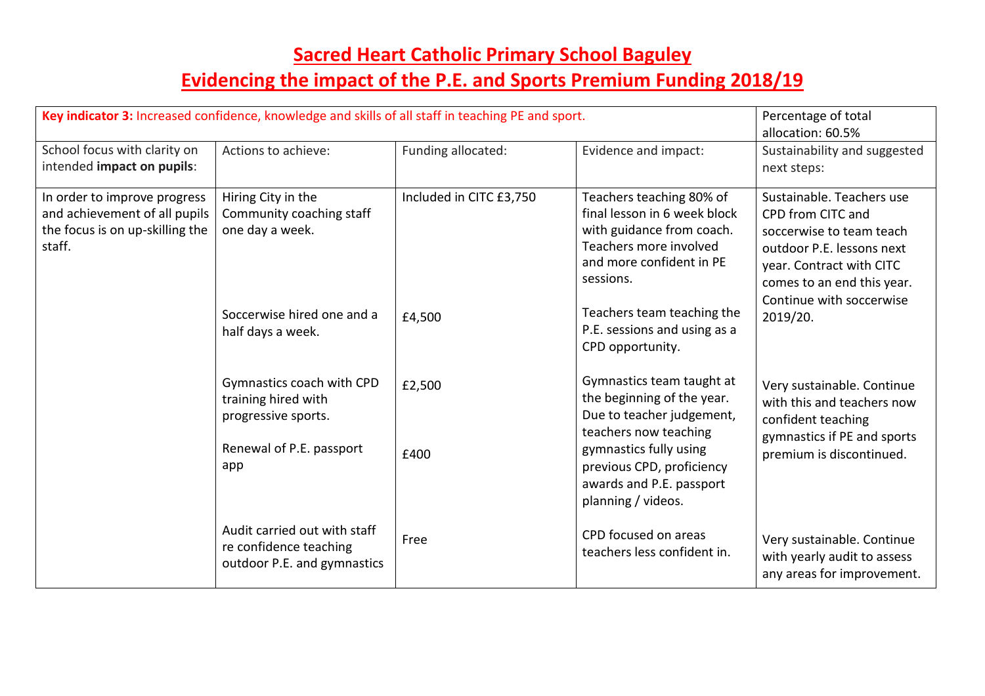| Key indicator 3: Increased confidence, knowledge and skills of all staff in teaching PE and sport.         |                                                                                                            |                                   | Percentage of total<br>allocation: 60.5%                                                                                                                                                                               |                                                                                                                                                                                                           |
|------------------------------------------------------------------------------------------------------------|------------------------------------------------------------------------------------------------------------|-----------------------------------|------------------------------------------------------------------------------------------------------------------------------------------------------------------------------------------------------------------------|-----------------------------------------------------------------------------------------------------------------------------------------------------------------------------------------------------------|
| School focus with clarity on<br>intended impact on pupils:                                                 | Actions to achieve:                                                                                        | Funding allocated:                | Evidence and impact:                                                                                                                                                                                                   | Sustainability and suggested<br>next steps:                                                                                                                                                               |
| In order to improve progress<br>and achievement of all pupils<br>the focus is on up-skilling the<br>staff. | Hiring City in the<br>Community coaching staff<br>one day a week.<br>Soccerwise hired one and a            | Included in CITC £3,750<br>£4,500 | Teachers teaching 80% of<br>final lesson in 6 week block<br>with guidance from coach.<br>Teachers more involved<br>and more confident in PE<br>sessions.<br>Teachers team teaching the<br>P.E. sessions and using as a | Sustainable. Teachers use<br>CPD from CITC and<br>soccerwise to team teach<br>outdoor P.E. lessons next<br>year. Contract with CITC<br>comes to an end this year.<br>Continue with soccerwise<br>2019/20. |
|                                                                                                            | half days a week.                                                                                          |                                   | CPD opportunity.<br>Gymnastics team taught at                                                                                                                                                                          |                                                                                                                                                                                                           |
|                                                                                                            | Gymnastics coach with CPD<br>training hired with<br>progressive sports.<br>Renewal of P.E. passport<br>app | £2,500<br>£400                    | the beginning of the year.<br>Due to teacher judgement,<br>teachers now teaching<br>gymnastics fully using<br>previous CPD, proficiency<br>awards and P.E. passport<br>planning / videos.                              | Very sustainable. Continue<br>with this and teachers now<br>confident teaching<br>gymnastics if PE and sports<br>premium is discontinued.                                                                 |
|                                                                                                            | Audit carried out with staff<br>re confidence teaching<br>outdoor P.E. and gymnastics                      | Free                              | CPD focused on areas<br>teachers less confident in.                                                                                                                                                                    | Very sustainable. Continue<br>with yearly audit to assess<br>any areas for improvement.                                                                                                                   |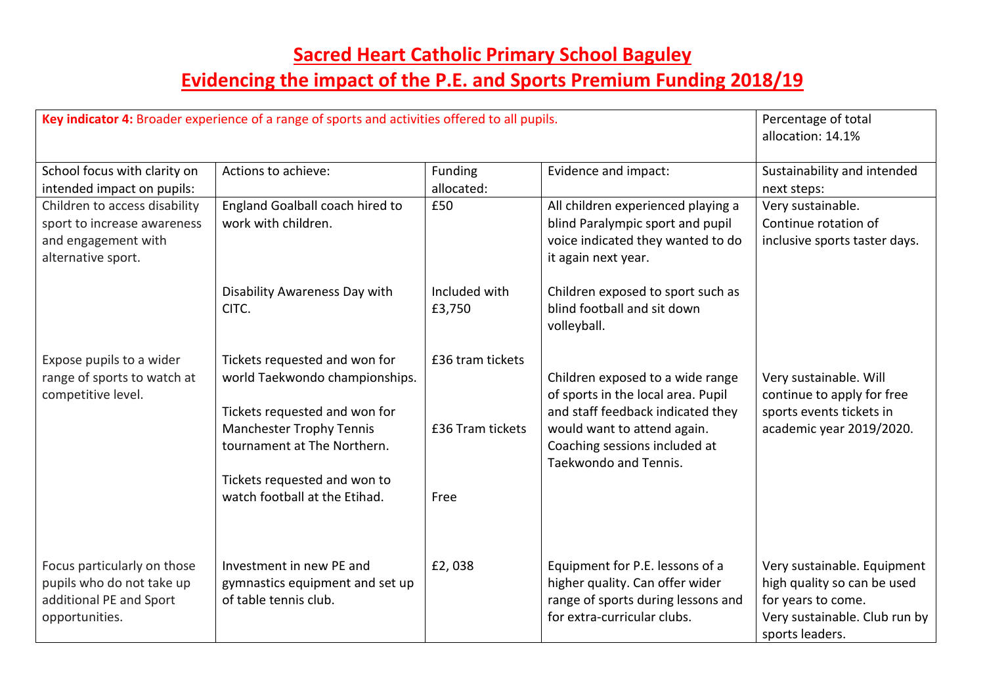|                                                                                                           | Key indicator 4: Broader experience of a range of sports and activities offered to all pupils.                                                                     |                                      |                                                                                                                                                                                                      | Percentage of total<br>allocation: 14.1%                                                                                             |
|-----------------------------------------------------------------------------------------------------------|--------------------------------------------------------------------------------------------------------------------------------------------------------------------|--------------------------------------|------------------------------------------------------------------------------------------------------------------------------------------------------------------------------------------------------|--------------------------------------------------------------------------------------------------------------------------------------|
| School focus with clarity on<br>intended impact on pupils:                                                | Actions to achieve:                                                                                                                                                | Funding<br>allocated:                | Evidence and impact:                                                                                                                                                                                 | Sustainability and intended<br>next steps:                                                                                           |
| Children to access disability<br>sport to increase awareness<br>and engagement with<br>alternative sport. | England Goalball coach hired to<br>work with children.                                                                                                             | £50                                  | All children experienced playing a<br>blind Paralympic sport and pupil<br>voice indicated they wanted to do<br>it again next year.                                                                   | Very sustainable.<br>Continue rotation of<br>inclusive sports taster days.                                                           |
|                                                                                                           | Disability Awareness Day with<br>CITC.                                                                                                                             | Included with<br>£3,750              | Children exposed to sport such as<br>blind football and sit down<br>volleyball.                                                                                                                      |                                                                                                                                      |
| Expose pupils to a wider<br>range of sports to watch at<br>competitive level.                             | Tickets requested and won for<br>world Taekwondo championships.<br>Tickets requested and won for<br><b>Manchester Trophy Tennis</b><br>tournament at The Northern. | £36 tram tickets<br>£36 Tram tickets | Children exposed to a wide range<br>of sports in the local area. Pupil<br>and staff feedback indicated they<br>would want to attend again.<br>Coaching sessions included at<br>Taekwondo and Tennis. | Very sustainable. Will<br>continue to apply for free<br>sports events tickets in<br>academic year 2019/2020.                         |
|                                                                                                           | Tickets requested and won to<br>watch football at the Etihad.                                                                                                      | Free                                 |                                                                                                                                                                                                      |                                                                                                                                      |
| Focus particularly on those<br>pupils who do not take up<br>additional PE and Sport<br>opportunities.     | Investment in new PE and<br>gymnastics equipment and set up<br>of table tennis club.                                                                               | £2,038                               | Equipment for P.E. lessons of a<br>higher quality. Can offer wider<br>range of sports during lessons and<br>for extra-curricular clubs.                                                              | Very sustainable. Equipment<br>high quality so can be used<br>for years to come.<br>Very sustainable. Club run by<br>sports leaders. |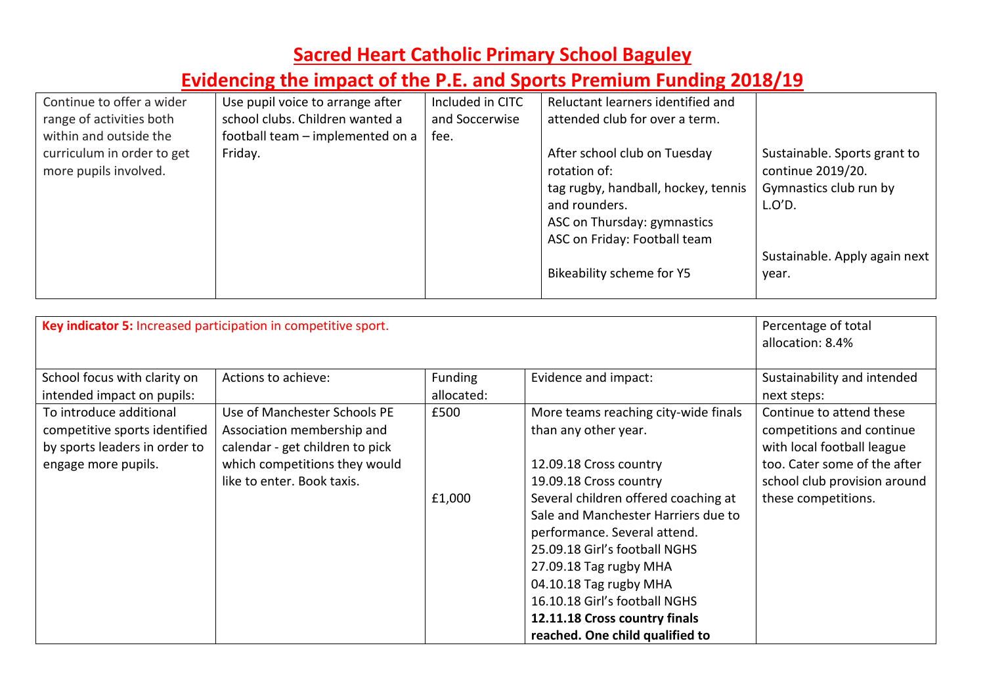| Continue to offer a wider  | Use pupil voice to arrange after | Included in CITC | Reluctant learners identified and   |                               |
|----------------------------|----------------------------------|------------------|-------------------------------------|-------------------------------|
| range of activities both   | school clubs. Children wanted a  | and Soccerwise   | attended club for over a term.      |                               |
| within and outside the     | football team - implemented on a | fee.             |                                     |                               |
| curriculum in order to get | Friday.                          |                  | After school club on Tuesday        | Sustainable. Sports grant to  |
| more pupils involved.      |                                  |                  | rotation of:                        | continue 2019/20.             |
|                            |                                  |                  | tag rugby, handball, hockey, tennis | Gymnastics club run by        |
|                            |                                  |                  | and rounders.                       | L.O'D.                        |
|                            |                                  |                  | ASC on Thursday: gymnastics         |                               |
|                            |                                  |                  | ASC on Friday: Football team        |                               |
|                            |                                  |                  |                                     | Sustainable. Apply again next |
|                            |                                  |                  | Bikeability scheme for Y5           | year.                         |
|                            |                                  |                  |                                     |                               |

| Key indicator 5: Increased participation in competitive sport.                                                   |                                                                                                                                                              |                              |                                                                                                                                                                                                                                                                                                                                                                                                                           | Percentage of total<br>allocation: 8.4%                                                                                                                                    |
|------------------------------------------------------------------------------------------------------------------|--------------------------------------------------------------------------------------------------------------------------------------------------------------|------------------------------|---------------------------------------------------------------------------------------------------------------------------------------------------------------------------------------------------------------------------------------------------------------------------------------------------------------------------------------------------------------------------------------------------------------------------|----------------------------------------------------------------------------------------------------------------------------------------------------------------------------|
| School focus with clarity on<br>intended impact on pupils:                                                       | Actions to achieve:                                                                                                                                          | <b>Funding</b><br>allocated: | Evidence and impact:                                                                                                                                                                                                                                                                                                                                                                                                      | Sustainability and intended<br>next steps:                                                                                                                                 |
| To introduce additional<br>competitive sports identified<br>by sports leaders in order to<br>engage more pupils. | Use of Manchester Schools PE<br>Association membership and<br>calendar - get children to pick<br>which competitions they would<br>like to enter. Book taxis. | £500<br>£1,000               | More teams reaching city-wide finals<br>than any other year.<br>12.09.18 Cross country<br>19.09.18 Cross country<br>Several children offered coaching at<br>Sale and Manchester Harriers due to<br>performance. Several attend.<br>25.09.18 Girl's football NGHS<br>27.09.18 Tag rugby MHA<br>04.10.18 Tag rugby MHA<br>16.10.18 Girl's football NGHS<br>12.11.18 Cross country finals<br>reached. One child qualified to | Continue to attend these<br>competitions and continue<br>with local football league<br>too. Cater some of the after<br>school club provision around<br>these competitions. |